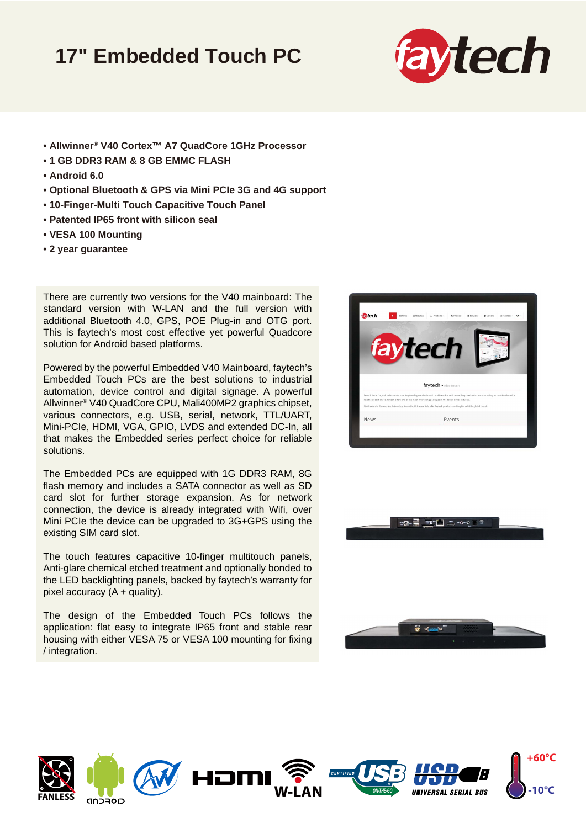## **17" Embedded Touch PC**



- **Allwinner® V40 Cortex™ A7 QuadCore 1GHz Processor**
- **1 GB DDR3 RAM & 8 GB EMMC FLASH**
- **Android 6.0**
- **Optional Bluetooth & GPS via Mini PCIe 3G and 4G support**
- **10-Finger-Multi Touch Capacitive Touch Panel**
- **Patented IP65 front with silicon seal**
- **VESA 100 Mounting**
- **2 year guarantee**

There are currently two versions for the V40 mainboard: The standard version with W-LAN and the full version with additional Bluetooth 4.0, GPS, POE Plug-in and OTG port. This is faytech's most cost effective yet powerful Quadcore solution for Android based platforms.

Powered by the powerful Embedded V40 Mainboard, faytech's Embedded Touch PCs are the best solutions to industrial automation, device control and digital signage. A powerful Allwinner® V40 QuadCore CPU, Mali400MP2 graphics chipset, various connectors, e.g. USB, serial, network, TTL/UART, Mini-PCIe, HDMI, VGA, GPIO, LVDS and extended DC-In, all that makes the Embedded series perfect choice for reliable solutions.

The Embedded PCs are equipped with 1G DDR3 RAM, 8G flash memory and includes a SATA connector as well as SD card slot for further storage expansion. As for network connection, the device is already integrated with Wifi, over Mini PCIe the device can be upgraded to 3G+GPS using the existing SIM card slot.

The touch features capacitive 10-finger multitouch panels, Anti-glare chemical etched treatment and optionally bonded to the LED backlighting panels, backed by faytech's warranty for pixel accuracy  $(A +$  quality).

The design of the Embedded Touch PCs follows the application: flat easy to integrate IP65 front and stable rear housing with either VESA 75 or VESA 100 mounting for fixing / integration.